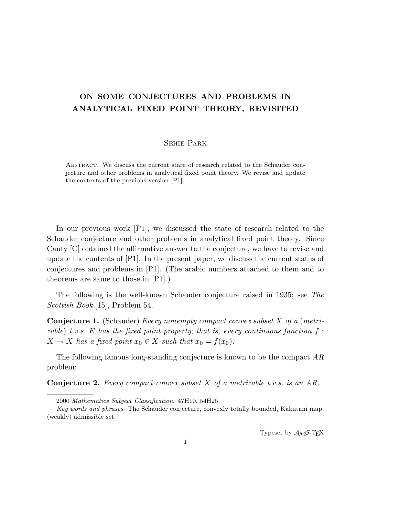## ON SOME CONJECTURES AND PROBLEMS IN ANALYTICAL FIXED POINT THEORY, REVISITED

## Sehie Park

Abstract. We discuss the current stare of research related to the Schauder conjecture and other problems in analytical fixed point theory. We revise and update the contents of the previous version [P1].

In our previous work [P1], we discussed the state of research related to the Schauder conjecture and other problems in analytical fixed point theory. Since Cauty [C] obtained the affirmative answer to the conjecture, we have to revise and update the contents of [P1]. In the present paper, we discuss the current status of conjectures and problems in [P1]. (The arabic numbers attached to them and to theorems are same to those in [P1].)

The following is the well-known Schauder conjecture raised in 1935; see The Scottish Book [15], Problem 54.

Conjecture 1. (Schauder) Every nonempty compact convex subset X of a (metrizable) t.v.s. E has the fixed point property; that is, every continuous function  $f$ :  $X \to X$  has a fixed point  $x_0 \in X$  such that  $x_0 = f(x_0)$ .

The following famous long-standing conjecture is known to be the compact AR problem:

**Conjecture 2.** Every compact convex subset  $X$  of a metrizable t.v.s. is an AR.

Typeset by  $A_{\mathcal{M}}S$ -T<sub>E</sub>X

<sup>2000</sup> Mathematics Subject Classification. 47H10, 54H25.

Key words and phrases. The Schauder conjecture, convexly totally bounded, Kakutani map, (weakly) admissible set.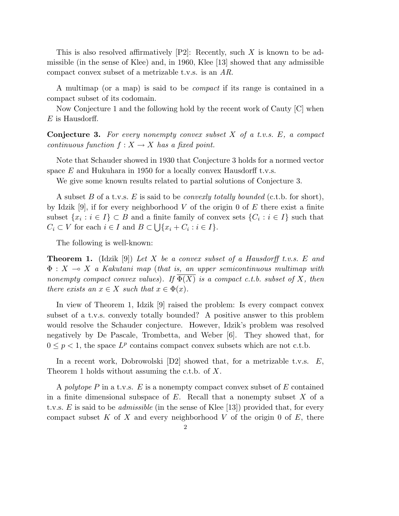This is also resolved affirmatively  $[P2]$ : Recently, such X is known to be admissible (in the sense of Klee) and, in 1960, Klee [13] showed that any admissible compact convex subset of a metrizable t.v.s. is an AR.

A multimap (or a map) is said to be compact if its range is contained in a compact subset of its codomain.

Now Conjecture 1 and the following hold by the recent work of Cauty [C] when  $E$  is Hausdorff.

**Conjecture 3.** For every nonempty convex subset  $X$  of a t.v.s.  $E$ , a compact continuous function  $f: X \to X$  has a fixed point.

Note that Schauder showed in 1930 that Conjecture 3 holds for a normed vector space  $E$  and Hukuhara in 1950 for a locally convex Hausdorff t.v.s.

We give some known results related to partial solutions of Conjecture 3.

A subset B of a t.v.s. E is said to be *convexly totally bounded* (c.t.b. for short), by Idzik [9], if for every neighborhood V of the origin 0 of E there exist a finite subset  $\{x_i : i \in I\} \subset B$  and a finite family of convex sets  $\{C_i : i \in I\}$  such that  $C_i \subset V$  for each  $i \in I$  and  $B \subset \bigcup \{x_i+C_i : i \in I\}.$ 

The following is well-known:

**Theorem 1.** (Idzik [9]) Let X be a convex subset of a Hausdorff t.v.s. E and  $\Phi: X \multimap X$  a Kakutani map (that is, an upper semicontinuous multimap with nonempty compact convex values). If  $\overline{\Phi(X)}$  is a compact c.t.b. subset of X, then there exists an  $x \in X$  such that  $x \in \Phi(x)$ .

In view of Theorem 1, Idzik [9] raised the problem: Is every compact convex subset of a t.v.s. convexly totally bounded? A positive answer to this problem would resolve the Schauder conjecture. However, Idzik's problem was resolved negatively by De Pascale, Trombetta, and Weber [6]. They showed that, for  $0 \leq p < 1$ , the space  $L^p$  contains compact convex subsets which are not c.t.b.

In a recent work, Dobrowolski  $[D2]$  showed that, for a metrizable t.v.s.  $E$ , Theorem 1 holds without assuming the c.t.b. of  $X$ .

A polytope P in a t.v.s.  $E$  is a nonempty compact convex subset of E contained in a finite dimensional subspace of  $E$ . Recall that a nonempty subset  $X$  of a t.v.s. E is said to be *admissible* (in the sense of Klee [13]) provided that, for every compact subset K of X and every neighborhood V of the origin 0 of  $E$ , there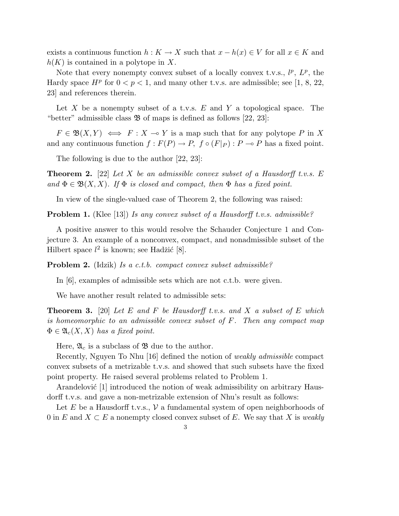exists a continuous function  $h: K \to X$  such that  $x - h(x) \in V$  for all  $x \in K$  and  $h(K)$  is contained in a polytope in X.

Note that every nonempty convex subset of a locally convex t.v.s.,  $l^p$ ,  $L^p$ , the Hardy space  $H^p$  for  $0 < p < 1$ , and many other t.v.s. are admissible; see [1, 8, 22, 23] and references therein.

Let X be a nonempty subset of a t.v.s.  $E$  and Y a topological space. The "better" admissible class  $\mathfrak B$  of maps is defined as follows [22, 23]:

 $F \in \mathfrak{B}(X,Y) \iff F : X \multimap Y$  is a map such that for any polytope P in X and any continuous function  $f : F(P) \to P$ ,  $f \circ (F|_P) : P \to P$  has a fixed point.

The following is due to the author [22, 23]:

**Theorem 2.** [22] Let X be an admissible convex subset of a Hausdorff t.v.s. E and  $\Phi \in \mathfrak{B}(X,X)$ . If  $\Phi$  is closed and compact, then  $\Phi$  has a fixed point.

In view of the single-valued case of Theorem 2, the following was raised:

**Problem 1.** (Klee [13]) Is any convex subset of a Hausdorff t.v.s. admissible?

A positive answer to this would resolve the Schauder Conjecture 1 and Conjecture 3. An example of a nonconvex, compact, and nonadmissible subset of the Hilbert space  $l^2$  is known; see Hadžić [8].

Problem 2. (Idzik) Is a c.t.b. compact convex subset admissible?

In [6], examples of admissible sets which are not c.t.b. were given.

We have another result related to admissible sets:

**Theorem 3.** [20] Let E and F be Hausdorff t.v.s. and X a subset of E which is homeomorphic to an admissible convex subset of F. Then any compact map  $\Phi \in \mathfrak{A}_{c}(X,X)$  has a fixed point.

Here,  $\mathfrak{A}_c$  is a subclass of  $\mathfrak{B}$  due to the author.

Recently, Nguyen To Nhu [16] defined the notion of weakly admissible compact convex subsets of a metrizable t.v.s. and showed that such subsets have the fixed point property. He raised several problems related to Problem 1.

Arandelović [1] introduced the notion of weak admissibility on arbitrary Hausdorff t.v.s. and gave a non-metrizable extension of Nhu's result as follows:

Let E be a Hausdorff t.v.s.,  $\mathcal V$  a fundamental system of open neighborhoods of 0 in E and  $X \subseteq E$  a nonempty closed convex subset of E. We say that X is weakly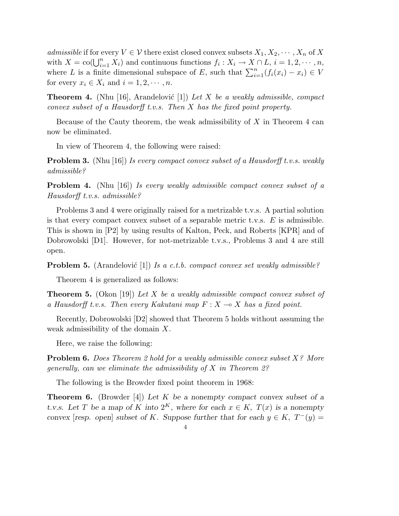admissible if for every  $V \in \mathcal{V}$  there exist closed convex subsets  $X_1, X_2, \cdots, X_n$  of X with  $X = \text{co}(\bigcup_{i=1}^{n} X_i)$  and continuous functions  $f_i: X_i \to X \cap L, i = 1, 2, \dots, n$ , where  $L$  is a finite dimensional subspace of  $E$ , such that  $\sum_{i=1}^{n} (f_i(x_i) - x_i) \in V$ for every  $x_i \in X_i$  and  $i = 1, 2, \dots, n$ .

**Theorem 4.** (Nhu [16], Arandelović [1]) Let X be a weakly admissible, compact convex subset of a Hausdorff t.v.s. Then X has the fixed point property.

Because of the Cauty theorem, the weak admissibility of  $X$  in Theorem 4 can now be eliminated.

In view of Theorem 4, the following were raised:

**Problem 3.** (Nhu [16]) Is every compact convex subset of a Hausdorff t.v.s. weakly admissible?

**Problem 4.** (Nhu [16]) Is every weakly admissible compact convex subset of a Hausdorff t.v.s. admissible?

Problems 3 and 4 were originally raised for a metrizable t.v.s. A partial solution is that every compact convex subset of a separable metric t.v.s.  $E$  is admissible. This is shown in [P2] by using results of Kalton, Peck, and Roberts [KPR] and of Dobrowolski [D1]. However, for not-metrizable t.v.s., Problems 3 and 4 are still open.

**Problem 5.** (Arandelović [1]) Is a c.t.b. compact convex set weakly admissible?

Theorem 4 is generalized as follows:

**Theorem 5.** (Okon [19]) Let X be a weakly admissible compact convex subset of a Hausdorff t.v.s. Then every Kakutani map  $F: X \longrightarrow X$  has a fixed point.

Recently, Dobrowolski [D2] showed that Theorem 5 holds without assuming the weak admissibility of the domain X.

Here, we raise the following:

**Problem 6.** Does Theorem 2 hold for a weakly admissible convex subset X? More generally, can we eliminate the admissibility of  $X$  in Theorem 2?

The following is the Browder fixed point theorem in 1968:

**Theorem 6.** (Browder [4]) Let K be a nonempty compact convex subset of a t.v.s. Let T be a map of K into  $2^K$ , where for each  $x \in K$ ,  $T(x)$  is a nonempty convex [resp. open] subset of K. Suppose further that for each  $y \in K$ ,  $T^-(y) =$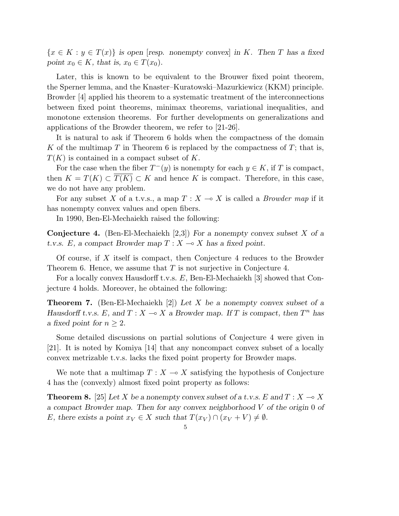${x \in K : y \in T(x)}$  is open [resp. nonempty convex] in K. Then T has a fixed point  $x_0 \in K$ , that is,  $x_0 \in T(x_0)$ .

Later, this is known to be equivalent to the Brouwer fixed point theorem, the Sperner lemma, and the Knaster–Kuratowski–Mazurkiewicz (KKM) principle. Browder [4] applied his theorem to a systematic treatment of the interconnections between fixed point theorems, minimax theorems, variational inequalities, and monotone extension theorems. For further developments on generalizations and applications of the Browder theorem, we refer to [21-26].

It is natural to ask if Theorem 6 holds when the compactness of the domain K of the multimap T in Theorem 6 is replaced by the compactness of T; that is,  $T(K)$  is contained in a compact subset of K.

For the case when the fiber  $T^-(y)$  is nonempty for each  $y \in K$ , if T is compact, then  $K = T(K) \subset T(K) \subset K$  and hence K is compact. Therefore, in this case, we do not have any problem.

For any subset X of a t.v.s., a map  $T : X \longrightarrow X$  is called a *Browder map* if it has nonempty convex values and open fibers.

In 1990, Ben-El-Mechaiekh raised the following:

**Conjecture 4.** (Ben-El-Mechaiekh [2,3]) For a nonempty convex subset X of a t.v.s. E, a compact Browder map  $T : X \longrightarrow X$  has a fixed point.

Of course, if  $X$  itself is compact, then Conjecture 4 reduces to the Browder Theorem 6. Hence, we assume that  $T$  is not surjective in Conjecture 4.

For a locally convex Hausdorff t.v.s. E, Ben-El-Mechaiekh [3] showed that Conjecture 4 holds. Moreover, he obtained the following:

**Theorem 7.** (Ben-El-Mechaiekh [2]) Let X be a nonempty convex subset of a Hausdorff t.v.s. E, and  $T : X \to X$  a Browder map. If T is compact, then  $T^n$  has a fixed point for  $n > 2$ .

Some detailed discussions on partial solutions of Conjecture 4 were given in [21]. It is noted by Komiya [14] that any noncompact convex subset of a locally convex metrizable t.v.s. lacks the fixed point property for Browder maps.

We note that a multimap  $T : X \rightarrow X$  satisfying the hypothesis of Conjecture 4 has the (convexly) almost fixed point property as follows:

**Theorem 8.** [25] Let X be a nonempty convex subset of a t.v.s. E and  $T : X \to X$ a compact Browder map. Then for any convex neighborhood  $V$  of the origin 0 of E, there exists a point  $x_V \in X$  such that  $T(x_V) \cap (x_V + V) \neq \emptyset$ .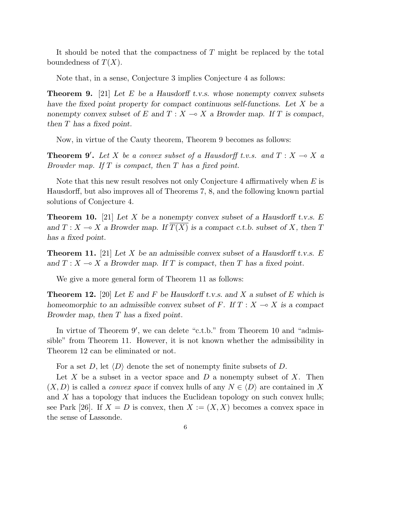It should be noted that the compactness of T might be replaced by the total boundedness of  $T(X)$ .

Note that, in a sense, Conjecture 3 implies Conjecture 4 as follows:

**Theorem 9.** [21] Let E be a Hausdorff t.v.s. whose nonempty convex subsets have the fixed point property for compact continuous self-functions. Let X be a nonempty convex subset of E and  $T : X \longrightarrow X$  a Browder map. If T is compact, then T has a fixed point.

Now, in virtue of the Cauty theorem, Theorem 9 becomes as follows:

**Theorem 9'.** Let X be a convex subset of a Hausdorff t.v.s. and  $T : X \to X$  a Browder map. If  $T$  is compact, then  $T$  has a fixed point.

Note that this new result resolves not only Conjecture 4 affirmatively when E is Hausdorff, but also improves all of Theorems 7, 8, and the following known partial solutions of Conjecture 4.

**Theorem 10.** [21] Let X be a nonempty convex subset of a Hausdorff t.v.s. E and  $T : X \to X$  a Browder map. If  $\overline{T(X)}$  is a compact c.t.b. subset of X, then T has a fixed point.

**Theorem 11.** [21] Let X be an admissible convex subset of a Hausdorff t.v.s. E and  $T : X \longrightarrow X$  a Browder map. If T is compact, then T has a fixed point.

We give a more general form of Theorem 11 as follows:

**Theorem 12.** [20] Let E and F be Hausdorff t.v.s. and X a subset of E which is homeomorphic to an admissible convex subset of F. If  $T : X \longrightarrow X$  is a compact Browder map, then T has a fixed point.

In virtue of Theorem  $9'$ , we can delete "c.t.b." from Theorem 10 and "admissible" from Theorem 11. However, it is not known whether the admissibility in Theorem 12 can be eliminated or not.

For a set D, let  $\langle D \rangle$  denote the set of nonempty finite subsets of D.

Let X be a subset in a vector space and  $D$  a nonempty subset of X. Then  $(X, D)$  is called a *convex space* if convex hulls of any  $N \in \langle D \rangle$  are contained in X and  $X$  has a topology that induces the Euclidean topology on such convex hulls; see Park [26]. If  $X = D$  is convex, then  $X := (X, X)$  becomes a convex space in the sense of Lassonde.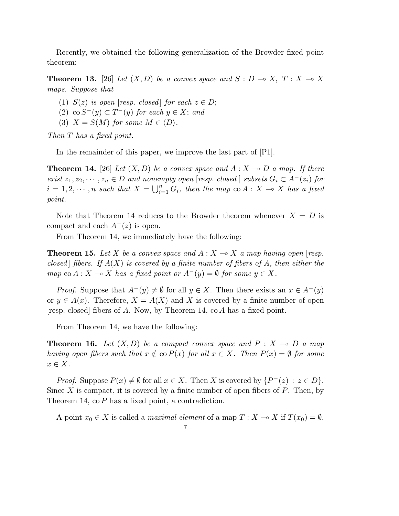Recently, we obtained the following generalization of the Browder fixed point theorem:

**Theorem 13.** [26] Let  $(X, D)$  be a convex space and  $S : D \to X$ ,  $T : X \to X$ maps. Suppose that

(1)  $S(z)$  is open [resp. closed] for each  $z \in D$ ;

(2) co  $S^-(y) \subset T^-(y)$  for each  $y \in X$ ; and

(3)  $X = S(M)$  for some  $M \in \langle D \rangle$ .

Then T has a fixed point.

In the remainder of this paper, we improve the last part of [P1].

**Theorem 14.** [26] Let  $(X, D)$  be a convex space and  $A: X \rightarrow D$  a map. If there exist  $z_1, z_2, \dots, z_n \in D$  and nonempty open [resp. closed ] subsets  $G_i \subset A^-(z_i)$  for  $i = 1, 2, \cdots, n$  such that  $X = \bigcup_{i=1}^{n}$  $\sum_{i=1}^n G_i$ , then the map  $\cot A : X \multimap X$  has a fixed point.

Note that Theorem 14 reduces to the Browder theorem whenever  $X = D$  is compact and each  $A^{-}(z)$  is open.

From Theorem 14, we immediately have the following:

**Theorem 15.** Let X be a convex space and  $A: X \rightarrow X$  a map having open [resp. closed fibers. If  $A(X)$  is covered by a finite number of fibers of A, then either the map co  $A: X \to X$  has a fixed point or  $A^-(y) = \emptyset$  for some  $y \in X$ .

*Proof.* Suppose that  $A^{-}(y) \neq \emptyset$  for all  $y \in X$ . Then there exists an  $x \in A^{-}(y)$ or  $y \in A(x)$ . Therefore,  $X = A(X)$  and X is covered by a finite number of open [resp. closed] fibers of A. Now, by Theorem 14, co A has a fixed point.

From Theorem 14, we have the following:

**Theorem 16.** Let  $(X, D)$  be a compact convex space and  $P : X \rightarrow D$  a map having open fibers such that  $x \notin \text{co } P(x)$  for all  $x \in X$ . Then  $P(x) = \emptyset$  for some  $x \in X$ .

*Proof.* Suppose  $P(x) \neq \emptyset$  for all  $x \in X$ . Then X is covered by  $\{P^-(z) : z \in D\}$ . Since  $X$  is compact, it is covered by a finite number of open fibers of  $P$ . Then, by Theorem 14, co P has a fixed point, a contradiction.

A point  $x_0 \in X$  is called a *maximal element* of a map  $T : X \to X$  if  $T(x_0) = \emptyset$ .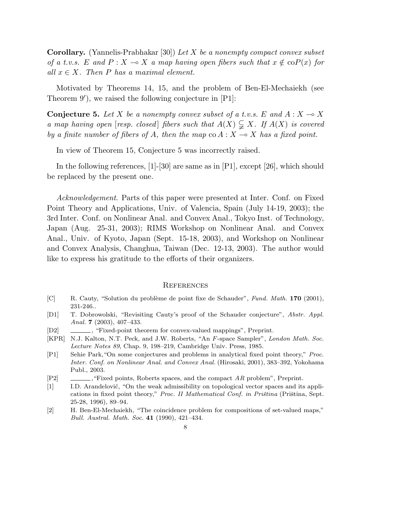**Corollary.** (Yannelis-Prabhakar [30]) Let X be a nonempty compact convex subset of a t.v.s. E and  $P : X \to X$  a map having open fibers such that  $x \notin \text{co}P(x)$  for all  $x \in X$ . Then P has a maximal element.

Motivated by Theorems 14, 15, and the problem of Ben-El-Mechaiekh (see Theorem  $9'$ ), we raised the following conjecture in  $[P1]$ :

**Conjecture 5.** Let X be a nonempty convex subset of a t.v.s. E and  $A: X \rightarrow X$ a map having open [resp. closed] fibers such that  $A(X) \subsetneq X$ . If  $A(X)$  is covered by a finite number of fibers of A, then the map  $\text{co } A : X \to X$  has a fixed point.

In view of Theorem 15, Conjecture 5 was incorrectly raised.

In the following references, [1]-[30] are same as in [P1], except [26], which should be replaced by the present one.

Acknowledgement. Parts of this paper were presented at Inter. Conf. on Fixed Point Theory and Applications, Univ. of Valencia, Spain (July 14-19, 2003); the 3rd Inter. Conf. on Nonlinear Anal. and Convex Anal., Tokyo Inst. of Technology, Japan (Aug. 25-31, 2003); RIMS Workshop on Nonlinear Anal. and Convex Anal., Univ. of Kyoto, Japan (Sept. 15-18, 2003), and Workshop on Nonlinear and Convex Analysis, Changhua, Taiwan (Dec. 12-13, 2003). The author would like to express his gratitude to the efforts of their organizers.

## **REFERENCES**

- [C] R. Cauty, "Solution du problème de point fixe de Schauder", Fund. Math. 170 (2001), 231-246..
- [D1] T. Dobrowolski, "Revisiting Cauty's proof of the Schauder conjecture", Abstr. Appl. Anal. **7** (2003), 407-433.
- [D2]  $\quad \quad \_$ , "Fixed-point theorem for convex-valued mappings", Preprint.
- [KPR] N.J. Kalton, N.T. Peck, and J.W. Roberts, "An F-space Sampler", London Math. Soc. Lecture Notes 89, Chap. 9, 198–219, Cambridge Univ. Press, 1985.
- [P1] Sehie Park,"On some conjectures and problems in analytical fixed point theory," Proc. Inter. Conf. on Nonlinear Anal. and Convex Anal. (Hirosaki, 2001), 383–392, Yokohama Publ., 2003.
- $[P2]$  , "Fixed points, Roberts spaces, and the compact AR problem", Preprint.
- [1] I.D. Arandelović, "On the weak admissibility on topological vector spaces and its applications in fixed point theory," Proc. II Mathematical Conf. in Priština (Priština, Sept. 25-28, 1996), 89–94.
- [2] H. Ben-El-Mechaiekh, "The coincidence problem for compositions of set-valued maps," Bull. Austral. Math. Soc. 41 (1990), 421–434.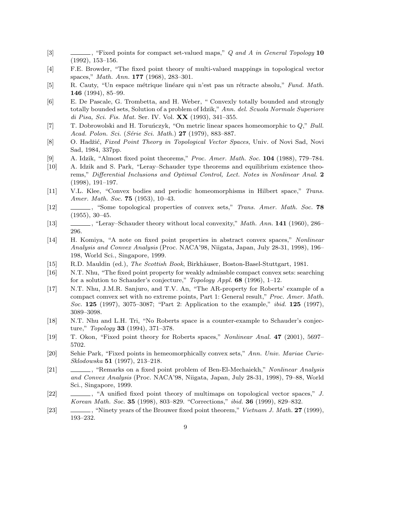- [3]  $\qquad \qquad \qquad$ , "Fixed points for compact set-valued maps," Q and A in General Topology 10 (1992), 153–156.
- [4] F.E. Browder, "The fixed point theory of multi-valued mappings in topological vector spaces," Math. Ann. 177 (1968), 283–301.
- [5] R. Cauty, "Un espace métrique linéare qui n'est pas un rétracte absolu," Fund. Math. 146 (1994), 85–99.
- [6] E. De Pascale, G. Trombetta, and H. Weber, " Convexly totally bounded and strongly totally bounded sets, Solution of a problem of Idzik," Ann. del. Scuola Normale Superiore di Pisa, Sci. Fis. Mat. Ser. IV. Vol. XX (1993), 341–355.
- [7] T. Dobrowolski and H. Toruńczyk, "On metric linear spaces homeomorphic to  $Q$ ," Bull. Acad. Polon. Sci. (Série Sci. Math.) 27 (1979), 883-887.
- [8] O. Hadžić, Fixed Point Theory in Topological Vector Spaces, Univ. of Novi Sad, Novi Sad, 1984, 337pp.
- [9] A. Idzik, "Almost fixed point theorems," Proc. Amer. Math. Soc. 104 (1988), 779–784.
- [10] A. Idzik and S. Park, "Leray–Schauder type theorems and equilibrium existence theorems," Differential Inclusions and Optimal Control, Lect. Notes in Nonlinear Anal. 2 (1998), 191–197.
- [11] V.L. Klee, "Convex bodies and periodic homeomorphisms in Hilbert space," Trans. Amer. Math. Soc. **75** (1953), 10-43.
- [12]  $\qquad \qquad$ , "Some topological properties of convex sets," Trans. Amer. Math. Soc. 78 (1955), 30–45.
- [13] , "Leray–Schauder theory without local convexity," Math. Ann. 141 (1960), 286– 296.
- [14] H. Komiya, "A note on fixed point properties in abstract convex spaces," Nonlinear Analysis and Convex Analysis (Proc. NACA'98, Niigata, Japan, July 28-31, 1998), 196– 198, World Sci., Singapore, 1999.
- [15] R.D. Mauldin (ed.), The Scottish Book, Birkhäuser, Boston-Basel-Stuttgart, 1981.
- [16] N.T. Nhu, "The fixed point property for weakly admissble compact convex sets: searching for a solution to Schauder's conjecture," Topology Appl. 68 (1996), 1–12.
- [17] N.T. Nhu, J.M.R. Sanjuro, and T.V. An, "The AR-property for Roberts' example of a compact comvex set with no extreme points, Part 1: General result," Proc. Amer. Math. Soc. 125 (1997), 3075–3087; "Part 2: Application to the example," ibid. 125 (1997), 3089–3098.
- [18] N.T. Nhu and L.H. Tri, "No Roberts space is a counter-example to Schauder's conjecture," Topology 33 (1994), 371–378.
- [19] T. Okon, "Fixed point theory for Roberts spaces," Nonlinear Anal. 47 (2001), 5697– 5702.
- [20] Sehie Park, "Fixed points in hemeomorphically convex sets," Ann. Univ. Mariae Curie-Sklodowska 51 (1997), 213–218.
- [21]  $\qquad \qquad \qquad$ , "Remarks on a fixed point problem of Ben-El-Mechaiekh," Nonlinear Analysis and Convex Analysis (Proc. NACA'98, Niigata, Japan, July 28-31, 1998), 79–88, World Sci., Singapore, 1999.
- [22] , "A unified fixed point theory of multimaps on topological vector spaces," J. Korean Math. Soc. 35 (1998), 803–829. "Corrections," ibid. 36 (1999), 829–832.
- [23] , "Ninety years of the Brouwer fixed point theorem," *Vietnam J. Math.* **27** (1999), 193–232.